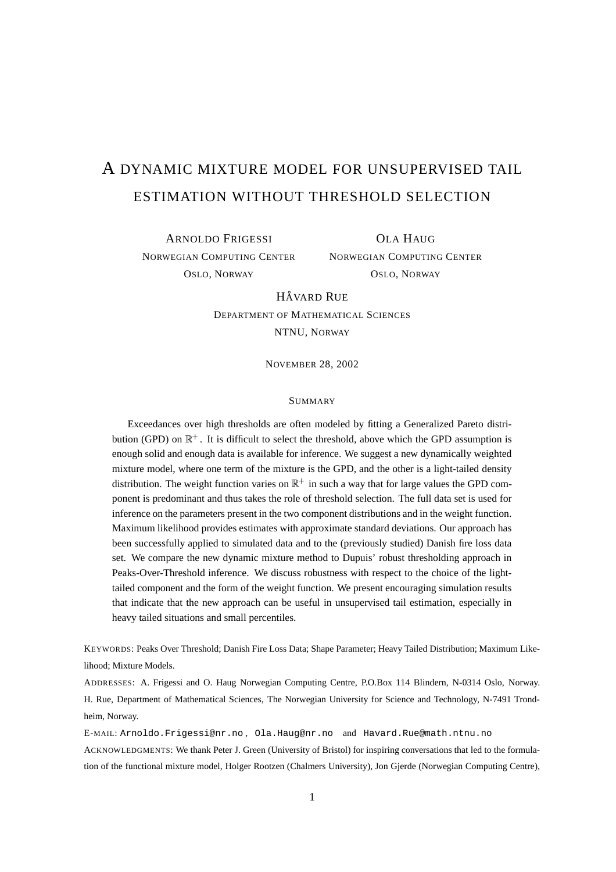# A DYNAMIC MIXTURE MODEL FOR UNSUPERVISED TAIL ESTIMATION WITHOUT THRESHOLD SELECTION

ARNOLDO FRIGESSI NORWEGIAN COMPUTING CENTER OSLO, NORWAY

OLA HAUG NORWEGIAN COMPUTING CENTER OSLO, NORWAY

**HÅVARD RUE** 

DEPARTMENT OF MATHEMATICAL SCIENCES NTNU, NORWAY

NOVEMBER 28, 2002

#### SUMMARY

Exceedances over high thresholds are often modeled by fitting a Generalized Pareto distribution (GPD) on  $\mathbb{R}^+$ . It is difficult to select the threshold, above which the GPD assumption is enough solid and enough data is available for inference. We suggest a new dynamically weighted mixture model, where one term of the mixture is the GPD, and the other is a light-tailed density distribution. The weight function varies on  $\mathbb{R}^+$  in such a way that for large values the GPD component is predominant and thus takes the role of threshold selection. The full data set is used for inference on the parameters present in the two component distributions and in the weight function. Maximum likelihood provides estimates with approximate standard deviations. Our approach has been successfully applied to simulated data and to the (previously studied) Danish fire loss data set. We compare the new dynamic mixture method to Dupuis' robust thresholding approach in Peaks-Over-Threshold inference. We discuss robustness with respect to the choice of the lighttailed component and the form of the weight function. We present encouraging simulation results that indicate that the new approach can be useful in unsupervised tail estimation, especially in heavy tailed situations and small percentiles.

KEYWORDS: Peaks Over Threshold; Danish Fire Loss Data; Shape Parameter; Heavy Tailed Distribution; Maximum Likelihood; Mixture Models.

ADDRESSES: A. Frigessi and O. Haug Norwegian Computing Centre, P.O.Box 114 Blindern, N-0314 Oslo, Norway. H. Rue, Department of Mathematical Sciences, The Norwegian University for Science and Technology, N-7491 Trondheim, Norway.

E-MAIL: Arnoldo.Frigessi@nr.no , Ola.Haug@nr.no and Havard.Rue@math.ntnu.no

ACKNOWLEDGMENTS: We thank Peter J. Green (University of Bristol) for inspiring conversations that led to the formulation of the functional mixture model, Holger Rootzen (Chalmers University), Jon Gjerde (Norwegian Computing Centre),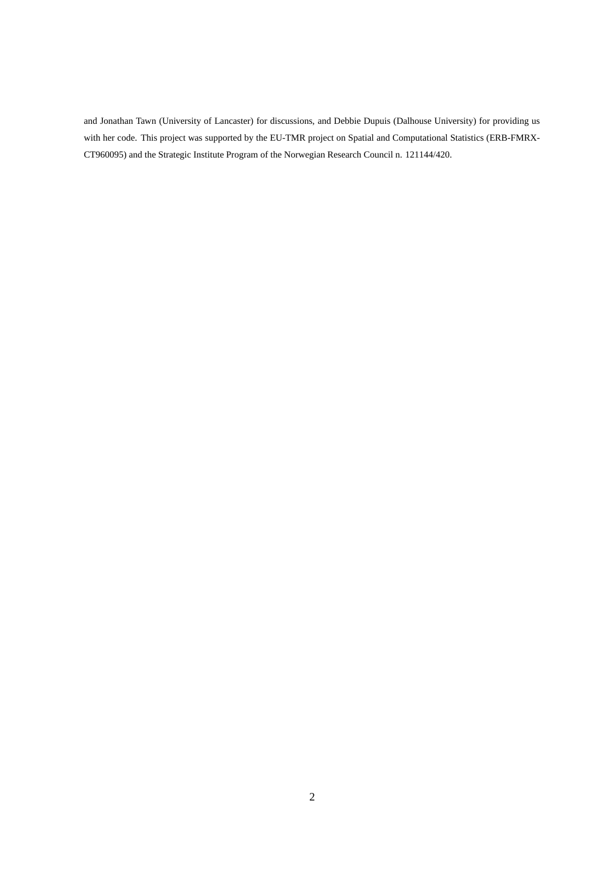and Jonathan Tawn (University of Lancaster) for discussions, and Debbie Dupuis (Dalhouse University) for providing us with her code. This project was supported by the EU-TMR project on Spatial and Computational Statistics (ERB-FMRX-CT960095) and the Strategic Institute Program of the Norwegian Research Council n. 121144/420.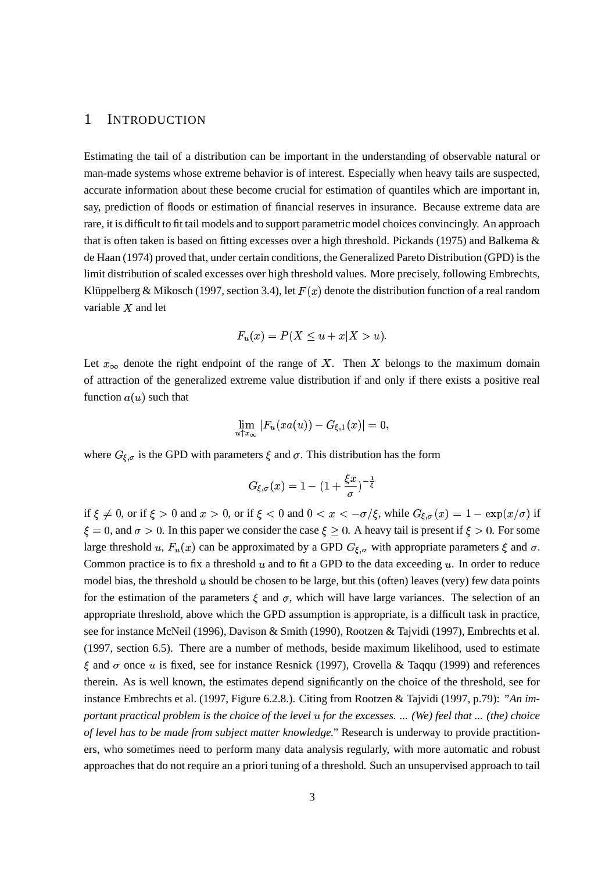#### 1 INTRODUCTION

Estimating the tail of a distribution can be important in the understanding of observable natural or man-made systems whose extreme behavior is of interest. Especially when heavy tails are suspected, accurate information about these become crucial for estimation of quantiles which are important in, say, prediction of floods or estimation of financial reserves in insurance. Because extreme data are rare, it is difficult to fit tail models and to support parametric model choices convincingly. An approach that is often taken is based on fitting excesses over a high threshold. Pickands (1975) and Balkema & de Haan (1974) proved that, under certain conditions, the Generalized Pareto Distribution (GPD) is the limit distribution of scaled excesses over high threshold values. More precisely, following Embrechts, Klüppelberg & Mikosch (1997, section 3.4), let  $F(x)$  denote the distribution function of a real random variable  $X$  and let

$$
F_u(x) = P(X \le u + x | X > u).
$$

Let  $x_{\infty}$  denote the right endpoint of the range of X. Then X belongs to the maximum domain of attraction of the generalized extreme value distribution if and only if there exists a positive real function  $a(u)$  such that

$$
\lim_{u \uparrow x_{\infty}} |F_u(xa(u)) - G_{\xi,1}(x)| = 0,
$$

where  $G_{\xi,\sigma}$  is the GPD with parameters  $\xi$  and  $\sigma$ . This distribution has the form

$$
G_{\xi,\sigma}(x)=1-(1+\frac{\xi x}{\sigma})^{-\frac{1}{\xi}}
$$

if  $\xi \neq 0$ , or if  $\xi > 0$  and  $x > 0$ , or if  $\xi < 0$  and  $0 < x < -\sigma/\xi$ , while  $G_{\xi,\sigma}(x) = 1 - \exp(x/\sigma)$  if  $\xi = 0$ , and  $\sigma > 0$ . In this paper we consider the case  $\xi \ge 0$ . A heavy tail is present if  $\xi > 0$ . For some large threshold u,  $F_u(x)$  can be approximated by a GPD  $G_{\xi,\sigma}$  with appropriate parameters  $\xi$  and  $\sigma$ . Common practice is to fix a threshold  $u$  and to fit a GPD to the data exceeding  $u$ . In order to reduce model bias, the threshold  $u$  should be chosen to be large, but this (often) leaves (very) few data points for the estimation of the parameters  $\xi$  and  $\sigma$ , which will have large variances. The selection of an appropriate threshold, above which the GPD assumption is appropriate, is a difficult task in practice, see for instance McNeil (1996), Davison & Smith (1990), Rootzen & Tajvidi (1997), Embrechts et al. (1997, section 6.5). There are a number of methods, beside maximum likelihood, used to estimate  $\xi$  and  $\sigma$  once  $u$  is fixed, see for instance Resnick (1997), Crovella & Taqqu (1999) and references therein. As is well known, the estimates depend significantly on the choice of the threshold, see for instance Embrechts et al. (1997, Figure 6.2.8.). Citing from Rootzen & Tajvidi (1997, p.79): *"An im*portant practical problem is the choice of the level u for the excesses. ... (We) feel that ... (the) choice *of level has to be made from subject matter knowledge."* Research is underway to provide practitioners, who sometimes need to perform many data analysis regularly, with more automatic and robust approaches that do not require an a priori tuning of a threshold. Such an unsupervised approach to tail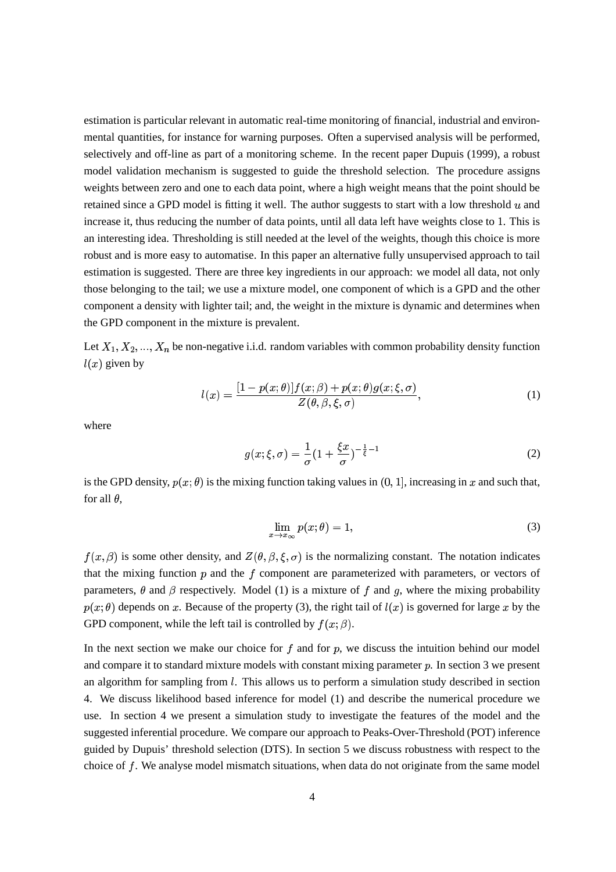estimation is particular relevant in automatic real-time monitoring of financial, industrial and environmental quantities, for instance for warning purposes. Often a supervised analysis will be performed, selectively and off-line as part of a monitoring scheme. In the recent paper Dupuis (1999), a robust model validation mechanism is suggested to guide the threshold selection. The procedure assigns weights between zero and one to each data point, where a high weight means that the point should be retained since a GPD model is fitting it well. The author suggests to start with a low threshold  $u$  and increase it, thus reducing the number of data points, until all data left have weights close to 1. This is an interesting idea. Thresholding is still needed at the level of the weights, though this choice is more robust and is more easy to automatise. In this paper an alternative fully unsupervised approach to tail estimation is suggested. There are three key ingredients in our approach: we model all data, not only those belonging to the tail; we use a mixture model, one component of which is a GPD and the other component a density with lighter tail; and, the weight in the mixture is dynamic and determines when the GPD component in the mixture is prevalent.

Let  $X_1, X_2, ..., X_n$  be non-negative i.i.d. random variables with common probability density function  $l(x)$  given by

$$
l(x) = \frac{[1 - p(x; \theta)]f(x; \beta) + p(x; \theta)g(x; \xi, \sigma)}{Z(\theta, \beta, \xi, \sigma)},
$$
\n(1)

where

$$
g(x; \xi, \sigma) = \frac{1}{\sigma} (1 + \frac{\xi x}{\sigma})^{-\frac{1}{\xi} - 1}
$$
 (2)

is the GPD density,  $p(x; \theta)$  is the mixing function taking values in  $(0, 1]$ , increasing in x and such that, for all  $\theta$ ,

$$
\lim_{x \to x_{\infty}} p(x; \theta) = 1,\tag{3}
$$

 $f(x,\beta)$  is some other density, and  $Z(\theta,\beta,\xi,\sigma)$  is the normalizing constant. The notation indicates that the mixing function  $p$  and the  $f$  component are parameterized with parameters, or vectors of parameters,  $\theta$  and  $\beta$  respectively. Model (1) is a mixture of f and g, where the mixing probability  $p(x; \theta)$  depends on x. Because of the property (3), the right tail of  $l(x)$  is governed for large x by the GPD component, while the left tail is controlled by  $f(x;\beta)$ .

In the next section we make our choice for  $f$  and for  $p$ , we discuss the intuition behind our model and compare it to standard mixture models with constant mixing parameter  $p$ . In section 3 we present an algorithm for sampling from *l*. This allows us to perform a simulation study described in section 4. We discuss likelihood based inference for model (1) and describe the numerical procedure we use. In section 4 we present a simulation study to investigate the features of the model and the suggested inferential procedure. We compare our approach to Peaks-Over-Threshold (POT) inference guided by Dupuis' threshold selection (DTS). In section 5 we discuss robustness with respect to the choice of  $f$ . We analyse model mismatch situations, when data do not originate from the same model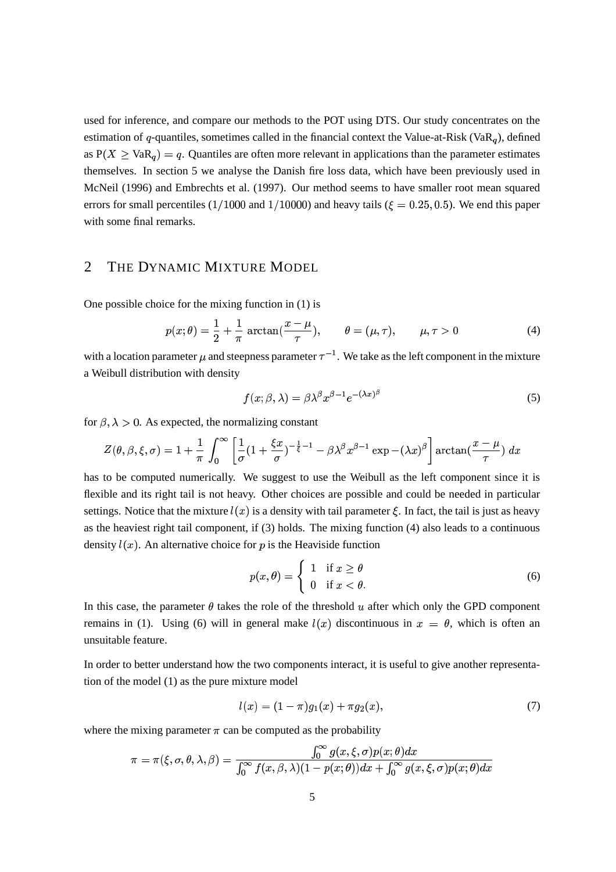used for inference, and compare our methods to the POT using DTS. Our study concentrates on the estimation of  $q$ -quantiles, sometimes called in the financial context the Value-at-Risk (VaR<sub>a</sub>), defined as  $P(X \geq VaR_q) = q$ . Quantiles are often more relevant in applications than the parameter estimates themselves. In section 5 we analyse the Danish fire loss data, which have been previously used in McNeil (1996) and Embrechts et al. (1997). Our method seems to have smaller root mean squared errors for small percentiles (1/1000 and 1/10000) and heavy tails ( $\xi = 0.25, 0.5$ ). We end this paper with some final remarks.

# 2 THE DYNAMIC MIXTURE MODEL

One possible choice for the mixing function in (1) is

$$
p(x; \theta) = \frac{1}{2} + \frac{1}{\pi} \arctan(\frac{x - \mu}{\tau}), \qquad \theta = (\mu, \tau), \qquad \mu, \tau > 0
$$
 (4)

with a location parameter  $\mu$  and steepness parameter  $\tau^{-1}$ . We take as the left component in the mixture a Weibull distribution with density

$$
f(x; \beta, \lambda) = \beta \lambda^{\beta} x^{\beta - 1} e^{-(\lambda x)^{\beta}}
$$
\n(5)

for  $\beta$ ,  $\lambda > 0$ . As expected, the normalizing constant

$$
Z(\theta, \beta, \xi, \sigma) = 1 + \frac{1}{\pi} \int_0^{\infty} \left[ \frac{1}{\sigma} (1 + \frac{\xi x}{\sigma})^{-\frac{1}{\xi} - 1} - \beta \lambda^{\beta} x^{\beta - 1} \exp(-(\lambda x)^{\beta} \right] \arctan(\frac{x - \mu}{\tau}) dx
$$

has to be computed numerically. We suggest to use the Weibull as the left component since it is flexible and its right tail is not heavy. Other choices are possible and could be needed in particular settings. Notice that the mixture  $l(x)$  is a density with tail parameter  $\xi$ . In fact, the tail is just as heavy as the heaviest right tail component, if (3) holds. The mixing function (4) also leads to a continuous density  $l(x)$ . An alternative choice for p is the Heaviside function

$$
p(x,\theta) = \begin{cases} 1 & \text{if } x \ge \theta \\ 0 & \text{if } x < \theta. \end{cases}
$$
 (6)

In this case, the parameter  $\theta$  takes the role of the threshold  $u$  after which only the GPD component remains in (1). Using (6) will in general make  $l(x)$  discontinuous in  $x = \theta$ , which is often an unsuitable feature.

In order to better understand how the two components interact, it is useful to give another representation of the model (1) as the pure mixture model

$$
l(x) = (1 - \pi)g_1(x) + \pi g_2(x), \tag{7}
$$

where the mixing parameter  $\pi$  can be computed as the probability

$$
\pi = \pi(\xi, \sigma, \theta, \lambda, \beta) = \frac{\int_0^\infty g(x, \xi, \sigma) p(x; \theta) dx}{\int_0^\infty f(x, \beta, \lambda) (1 - p(x; \theta)) dx + \int_0^\infty g(x, \xi, \sigma) p(x; \theta) dx}
$$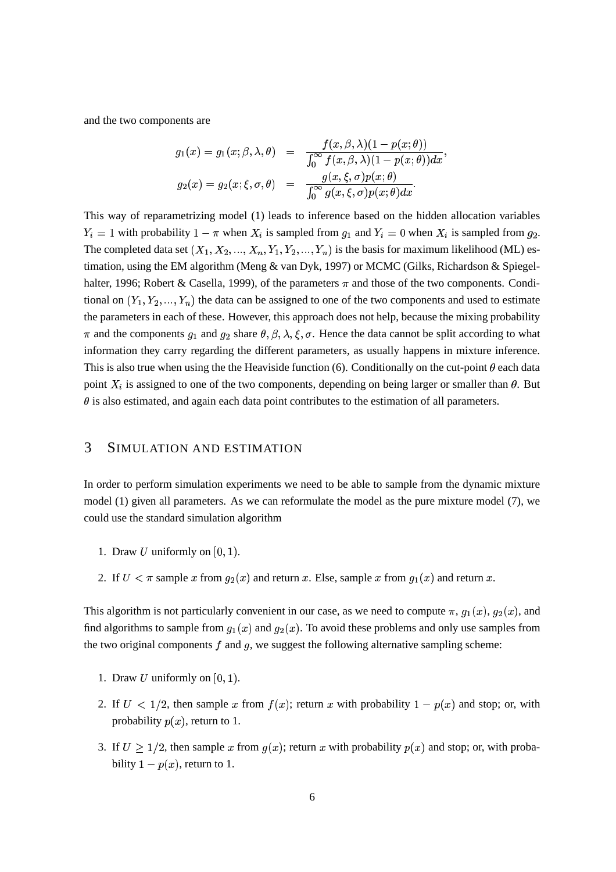and the two components are

$$
g_1(x) = g_1(x; \beta, \lambda, \theta) = \frac{f(x, \beta, \lambda)(1 - p(x; \theta))}{\int_0^\infty f(x, \beta, \lambda)(1 - p(x; \theta))dx},
$$
  

$$
g_2(x) = g_2(x; \xi, \sigma, \theta) = \frac{g(x, \xi, \sigma)p(x; \theta)}{\int_0^\infty g(x, \xi, \sigma)p(x; \theta)dx}.
$$

This way of reparametrizing model (1) leads to inference based on the hidden allocation variables  $Y_i = 1$  with probability  $1 - \pi$  when  $X_i$  is sampled from  $g_1$  and  $Y_i = 0$  when  $X_i$  is sampled from  $g_2$ . The completed data set  $(X_1, X_2, ..., X_n, Y_1, Y_2, ..., Y_n)$  is the basis for maximum likelihood (ML) estimation, using the EM algorithm (Meng & van Dyk, 1997) or MCMC (Gilks, Richardson & Spiegelhalter, 1996; Robert & Casella, 1999), of the parameters  $\pi$  and those of the two components. Conditional on  $(Y_1, Y_2, ..., Y_n)$  the data can be assigned to one of the two components and used to estimate the parameters in each of these. However, this approach does not help, because the mixing probability  $\pi$  and the components  $g_1$  and  $g_2$  share  $\theta$ ,  $\beta$ ,  $\lambda$ ,  $\xi$ ,  $\sigma$ . Hence the data cannot be split according to what information they carry regarding the different parameters, as usually happens in mixture inference. This is also true when using the the Heaviside function (6). Conditionally on the cut-point  $\theta$  each data point  $X_i$  is assigned to one of the two components, depending on being larger or smaller than  $\theta$ . But  $\theta$  is also estimated, and again each data point contributes to the estimation of all parameters.

# 3 SIMULATION AND ESTIMATION

In order to perform simulation experiments we need to be able to sample from the dynamic mixture model (1) given all parameters. As we can reformulate the model as the pure mixture model (7), we could use the standard simulation algorithm

- 1. Draw  $U$  uniformly on  $[0, 1)$ .
- 2. If  $U < \pi$  sample x from  $g_2(x)$  and return x. Else, sample x from  $g_1(x)$  and return x.

This algorithm is not particularly convenient in our case, as we need to compute  $\pi$ ,  $g_1(x)$ ,  $g_2(x)$ , and find algorithms to sample from  $g_1(x)$  and  $g_2(x)$ . To avoid these problems and only use samples from the two original components  $f$  and  $g$ , we suggest the following alternative sampling scheme:

- 1. Draw  $U$  uniformly on  $[0, 1)$ .
- 2. If  $U < 1/2$ , then sample x from  $f(x)$ ; return x with probability  $1 p(x)$  and stop; or, with probability  $p(x)$ , return to 1.
- 3. If  $U \geq 1/2$ , then sample x from  $g(x)$ ; return x with probability  $p(x)$  and stop; or, with probability  $1-p(x)$ , return to 1.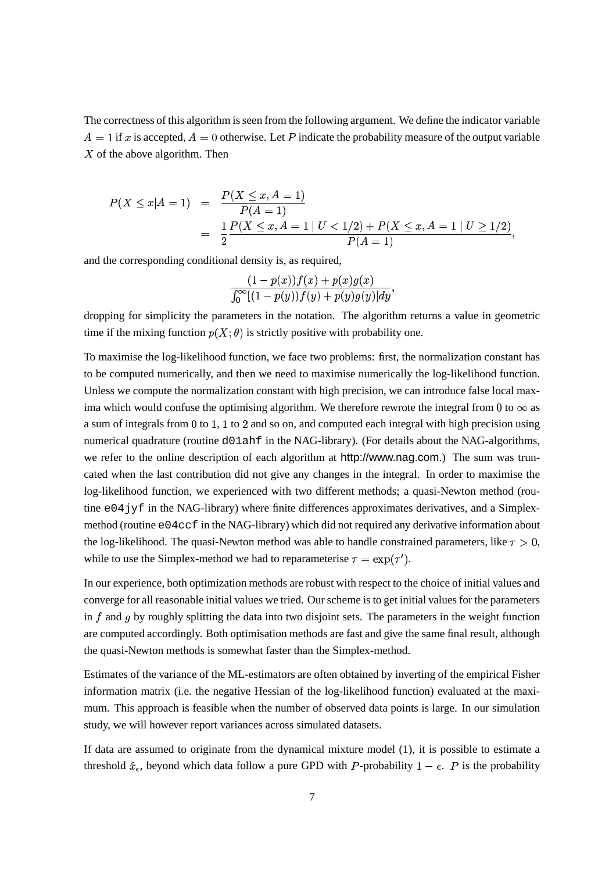The correctness of this algorithm isseen from the following argument. We define the indicator variable  $A = 1$  if x is accepted,  $A = 0$  otherwise. Let P indicate the probability measure of the output variable  $X$  of the above algorithm. Then

$$
P(X \le x | A = 1) = \frac{P(X \le x, A = 1)}{P(A = 1)}
$$
  
= 
$$
\frac{1}{2} \frac{P(X \le x, A = 1 | U < 1/2) + P(X \le x, A = 1 | U \ge 1/2)}{P(A = 1)},
$$

and the corresponding conditional density is, as required,

$$
\frac{(1-p(x))f(x)+p(x)g(x)}{\int_0^\infty[(1-p(y))f(y)+p(y)g(y)]dy},
$$

dropping for simplicity the parameters in the notation. The algorithm returns a value in geometric time if the mixing function  $p(X; \theta)$  is strictly positive with probability one.

To maximise the log-likelihood function, we face two problems: first, the normalization constant has to be computed numerically, and then we need to maximise numerically the log-likelihood function. Unless we compute the normalization constant with high precision, we can introduce false local maxima which would confuse the optimising algorithm. We therefore rewrote the integral from 0 to  $\infty$  as a sum of integrals from  $0$  to  $1$ ,  $1$  to  $2$  and so on, and computed each integral with high precision using numerical quadrature (routine d01ahf in the NAG-library). (For details about the NAG-algorithms, we refer to the online description of each algorithm at http://www.nag.com.) The sum was truncated when the last contribution did not give any changes in the integral. In order to maximise the log-likelihood function, we experienced with two different methods; a quasi-Newton method (routine  $e^{04}$  jyf in the NAG-library) where finite differences approximates derivatives, and a Simplexmethod (routine  $e^{04}$ ccf in the NAG-library) which did not required any derivative information about the log-likelihood. The quasi-Newton method was able to handle constrained parameters, like  $\tau > 0$ , while to use the Simplex-method we had to reparameterise  $\tau = \exp(\tau')$ .

In our experience, both optimization methods are robust with respect to the choice of initial values and converge for all reasonable initial values we tried. Our scheme is to get initial values for the parameters in  $f$  and  $g$  by roughly splitting the data into two disjoint sets. The parameters in the weight function are computed accordingly. Both optimisation methods are fast and give the same final result, although the quasi-Newton methods is somewhat faster than the Simplex-method.

Estimates of the variance of the ML-estimators are often obtained by inverting of the empirical Fisher information matrix (i.e. the negative Hessian of the log-likelihood function) evaluated at the maximum. This approach is feasible when the number of observed data points is large. In our simulation study, we will however report variances across simulated datasets.

If data are assumed to originate from the dynamical mixture model (1), it is possible to estimate a threshold  $\hat{x}_{\epsilon}$ , beyond which data follow a pure GPD with P-probability  $1 - \epsilon$ . P is the probability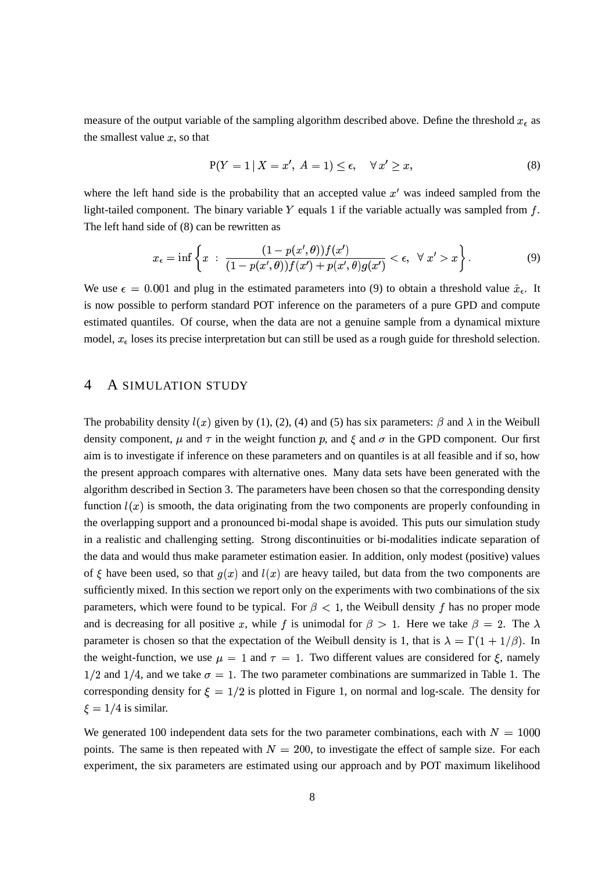measure of the output variable of the sampling algorithm described above. Define the threshold  $x_{\epsilon}$  as the smallest value  $x$ , so that

$$
P(Y = 1 | X = x', A = 1) \le \epsilon, \quad \forall x' \ge x,
$$
\n<sup>(8)</sup>

where the left hand side is the probability that an accepted value  $x'$  was indeed sampled from the light-tailed component. The binary variable  $Y$  equals 1 if the variable actually was sampled from  $f$ . The left hand side of (8) can be rewritten as

$$
x_{\epsilon} = \inf \left\{ x \; : \; \frac{(1 - p(x', \theta))f(x')}{(1 - p(x', \theta))f(x') + p(x', \theta)g(x')} < \epsilon, \; \forall \; x' > x \right\}.
$$
\n
$$
\tag{9}
$$

We use  $\epsilon = 0.001$  and plug in the estimated parameters into (9) to obtain a threshold value  $\hat{x}_{\epsilon}$ . It is now possible to perform standard POT inference on the parameters of a pure GPD and compute estimated quantiles. Of course, when the data are not a genuine sample from a dynamical mixture model,  $x_{\epsilon}$  loses its precise interpretation but can still be used as a rough guide for threshold selection.

## 4 A SIMULATION STUDY

The probability density  $l(x)$  given by (1), (2), (4) and (5) has six parameters:  $\beta$  and  $\lambda$  in the Weibull density component,  $\mu$  and  $\tau$  in the weight function p, and  $\xi$  and  $\sigma$  in the GPD component. Our first aim is to investigate if inference on these parameters and on quantiles is at all feasible and if so, how the present approach compares with alternative ones. Many data sets have been generated with the algorithm described in Section 3. The parameters have been chosen so that the corresponding density function  $l(x)$  is smooth, the data originating from the two components are properly confounding in the overlapping support and a pronounced bi-modal shape is avoided. This puts our simulation study in a realistic and challenging setting. Strong discontinuities or bi-modalities indicate separation of the data and would thus make parameter estimation easier. In addition, only modest (positive) values of  $\xi$  have been used, so that  $q(x)$  and  $l(x)$  are heavy tailed, but data from the two components are sufficiently mixed. In this section we report only on the experiments with two combinations of the six parameters, which were found to be typical. For  $\beta < 1$ , the Weibull density f has no proper mode and is decreasing for all positive x, while f is unimodal for  $\beta > 1$ . Here we take  $\beta = 2$ . The  $\lambda$ parameter is chosen so that the expectation of the Weibull density is 1, that is  $\lambda = \Gamma(1 + 1/\beta)$ . In the weight-function, we use  $\mu = 1$  and  $\tau = 1$ . Two different values are considered for  $\xi$ , namely  $1/2$  and  $1/4$ , and we take  $\sigma = 1$ . The two parameter combinations are summarized in Table 1. The corresponding density for  $\xi = 1/2$  is plotted in Figure 1, on normal and log-scale. The density for  $\xi = 1/4$  is similar.

We generated 100 independent data sets for the two parameter combinations, each with  $N = 1000$ points. The same is then repeated with  $N = 200$ , to investigate the effect of sample size. For each experiment, the six parameters are estimated using our approach and by POT maximum likelihood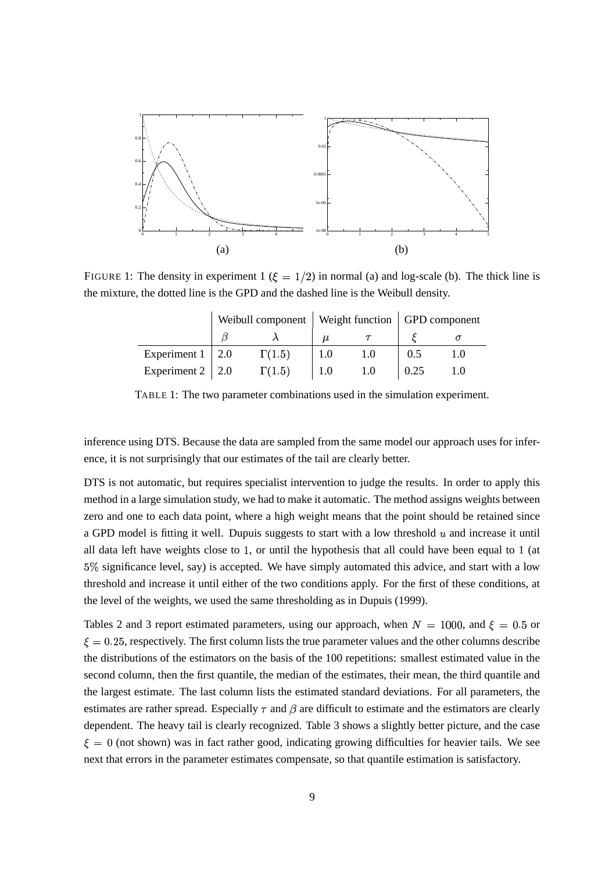

FIGURE 1: The density in experiment 1 ( $\xi = 1/2$ ) in normal (a) and log-scale (b). The thick line is the mixture, the dotted line is the GPD and the dashed line is the Weibull density.

|                         |               |  | Weibull component   Weight function   GPD component |  |
|-------------------------|---------------|--|-----------------------------------------------------|--|
|                         |               |  |                                                     |  |
| Experiment $1 \mid 2.0$ | $\Gamma(1.5)$ |  | (0.5)                                               |  |
| Experiment $2 \mid 2.0$ | $\Gamma(1.5)$ |  | 0.25                                                |  |

TABLE 1: The two parameter combinations used in the simulation experiment.

inference using DTS. Because the data are sampled from the same model our approach uses for inference, it is not surprisingly that our estimates of the tail are clearly better.

DTS is not automatic, but requires specialist intervention to judge the results. In order to apply this method in a large simulation study, we had to make it automatic. The method assigns weights between zero and one to each data point, where a high weight means that the point should be retained since a GPD model is fitting it well. Dupuis suggests to start with a low threshold  $u$  and increase it until all data left have weights close to  $1$ , or until the hypothesis that all could have been equal to  $1$  (at 5% significance level, say) is accepted. We have simply automated this advice, and start with a low threshold and increase it until either of the two conditions apply. For the first of these conditions, at the level of the weights, we used the same thresholding as in Dupuis (1999).

Tables 2 and 3 report estimated parameters, using our approach, when  $N = 1000$ , and  $\xi = 0.5$  or  $\xi = 0.25$ , respectively. The first column lists the true parameter values and the other columns describe the distributions of the estimators on the basis of the 100 repetitions: smallest estimated value in the second column, then the first quantile, the median of the estimates, their mean, the third quantile and the largest estimate. The last column lists the estimated standard deviations. For all parameters, the estimates are rather spread. Especially  $\tau$  and  $\beta$  are difficult to estimate and the estimators are clearly dependent. The heavy tail is clearly recognized. Table 3 shows a slightly better picture, and the case  $\xi = 0$  (not shown) was in fact rather good, indicating growing difficulties for heavier tails. We see next that errors in the parameter estimates compensate, so that quantile estimation is satisfactory.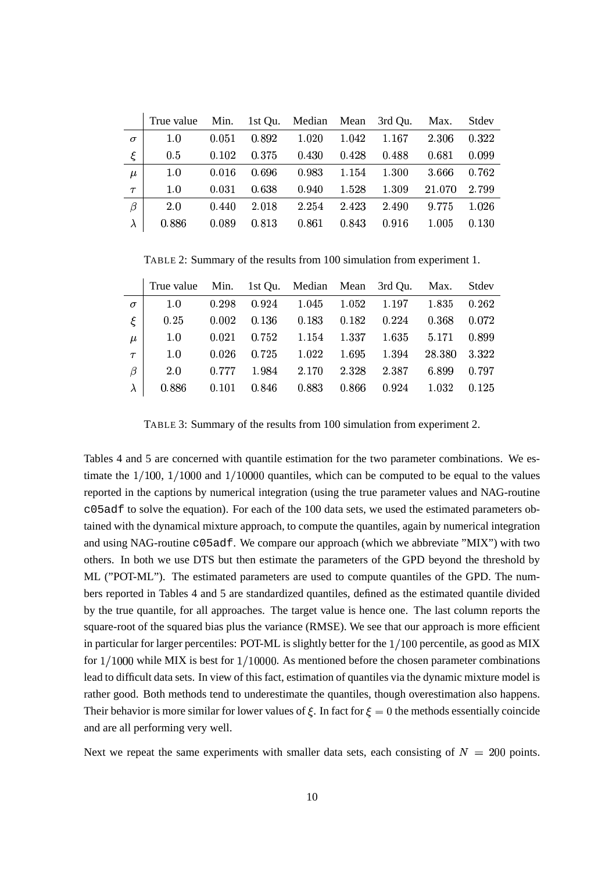|           | True value Min. 1st Qu. Median Mean 3rd Qu. |       |       |       |       |       | Max.   | Stdev |
|-----------|---------------------------------------------|-------|-------|-------|-------|-------|--------|-------|
| $\sigma$  | 1.0                                         | 0.051 | 0.892 | 1.020 | 1.042 | 1.167 | 2.306  | 0.322 |
| ξ         | 0.5                                         | 0.102 | 0.375 | 0.430 | 0.428 | 0.488 | 0.681  | 0.099 |
| $\mu$     | 1.0                                         | 0.016 | 0.696 | 0.983 | 1.154 | 1.300 | 3.666  | 0.762 |
| $\tau$    | 1.0                                         | 0.031 | 0.638 | 0.940 | 1.528 | 1.309 | 21.070 | 2.799 |
| $\beta$   | 2.0                                         | 0.440 | 2.018 | 2.254 | 2.423 | 2.490 | 9.775  | 1.026 |
| $\lambda$ | 0.886                                       | 0.089 | 0.813 | 0.861 | 0.843 | 0.916 | 1.005  | 0.130 |

TABLE 2: Summary of the results from 100 simulation from experiment 1.

|          | True value Min. 1st Qu. Median Mean 3rd Qu. Max. Stdev |       |       |                                 |       |             |                   |       |
|----------|--------------------------------------------------------|-------|-------|---------------------------------|-------|-------------|-------------------|-------|
| $\sigma$ | 1.0                                                    | 0.298 |       | $0.924$ $1.045$ $1.052$ $1.197$ |       |             | 1.835             | 0.262 |
|          | 0.25                                                   | 0.002 | 0.136 | $0.183$ $0.182$ $0.224$         |       |             | $0.368$ $0.072$   |       |
| $\mu$    | 1.0                                                    | 0.021 |       | $0.752$ $1.154$ $1.337$         |       |             | 1.635 5.171 0.899 |       |
| $\tau$   | 1.0                                                    | 0.026 |       | $0.725$ $1.022$ $1.695$ $1.394$ |       |             | 28.380 3.322      |       |
| $\beta$  | 2.0                                                    | 0.777 |       | 1.984 2.170                     |       | 2.328 2.387 | 6.899             | 0.797 |
|          | 0.886                                                  | 0.101 | 0.846 | 0.883                           | 0.866 | 0.924       | 1.032             | 0.125 |

TABLE 3: Summary of the results from 100 simulation from experiment 2.

Tables 4 and 5 are concerned with quantile estimation for the two parameter combinations. We estimate the  $1/100$ ,  $1/1000$  and  $1/10000$  quantiles, which can be computed to be equal to the values reported in the captions by numerical integration (using the true parameter values and NAG-routine c05adf to solve the equation). For each of the 100 data sets, we used the estimated parameters obtained with the dynamical mixture approach, to compute the quantiles, again by numerical integration and using NAG-routine c05adf. We compare our approach (which we abbreviate "MIX") with two others. In both we use DTS but then estimate the parameters of the GPD beyond the threshold by ML ("POT-ML"). The estimated parameters are used to compute quantiles of the GPD. The numbers reported in Tables 4 and 5 are standardized quantiles, defined as the estimated quantile divided by the true quantile, for all approaches. The target value is hence one. The last column reports the square-root of the squared bias plus the variance (RMSE). We see that our approach is more efficient in particular for larger percentiles: POT-ML is slightly better for the  $1/100$  percentile, as good as MIX for  $1/1000$  while MIX is best for  $1/10000$ . As mentioned before the chosen parameter combinations lead to difficult data sets. In view of this fact, estimation of quantiles via the dynamic mixture model is rather good. Both methods tend to underestimate the quantiles, though overestimation also happens. Their behavior is more similar for lower values of  $\xi$ . In fact for  $\xi = 0$  the methods essentially coincide and are all performing very well.

Next we repeat the same experiments with smaller data sets, each consisting of  $N = 200$  points.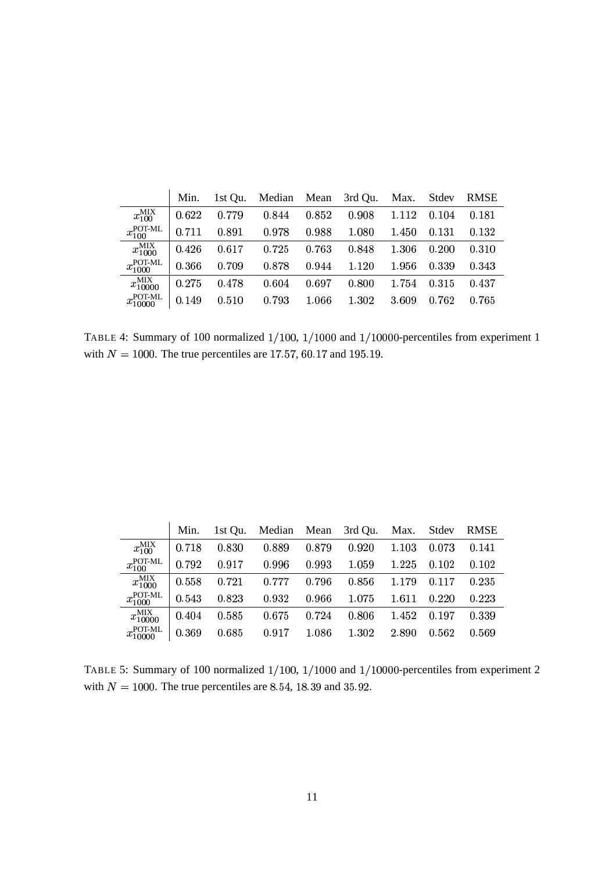|                             | Min.  | 1st Qu. | Median Mean |       | 3rd Qu. Max. |       | Stdev | <b>RMSE</b> |
|-----------------------------|-------|---------|-------------|-------|--------------|-------|-------|-------------|
| $x_{100}^{\text{MIX}}$      | 0.622 | 0.779   | 0.844       | 0.852 | 0.908        | 1.112 | 0.104 | 0.181       |
| $x_{100}^{\rm POT-ML}$      | 0.711 | 0.891   | 0.978       | 0.988 | 1.080        | 1.450 | 0.131 | 0.132       |
| $x_{1000}^{\text{MIX}}$     | 0.426 | 0.617   | 0.725       | 0.763 | 0.848        | 1.306 | 0.200 | 0.310       |
| $x_{1000}^{\text{POT-ML}}$  | 0.366 | 0.709   | 0.878       | 0.944 | 1.120        | 1.956 | 0.339 | 0.343       |
| $x_{10000}^{\text{MIX}}$    | 0.275 | 0.478   | 0.604       | 0.697 | 0.800        | 1.754 | 0.315 | 0.437       |
| $x_{10000}^{\text{POT-ML}}$ | 0.149 | 0.510   | 0.793       | 1.066 | 1.302        | 3.609 | 0.762 | 0.765       |

TABLE 4: Summary of 100 normalized  $1/100$ ,  $1/1000$  and  $1/10000$ -percentiles from experiment 1 with  $N = 1000$ . The true percentiles are 17.57, 60.17 and 195.19.

|                             | Min.  | 1st Qu. | Median Mean 3rd Qu. |       |       | Max. Stdev |       | <b>RMSE</b> |
|-----------------------------|-------|---------|---------------------|-------|-------|------------|-------|-------------|
| $x_{100}^{\text{MIX}}$      | 0.718 | 0.830   | 0.889               | 0.879 | 0.920 | 1.103      | 0.073 | 0.141       |
| $x_{100}^{\rm POT-ML}$      | 0.792 | 0.917   | 0.996               | 0.993 | 1.059 | 1.225      | 0.102 | 0.102       |
| $x_{1000}^{\text{MIX}}$     | 0.558 | 0.721   | 0.777               | 0.796 | 0.856 | 1.179      | 0.117 | 0.235       |
| $x_{1000}^{\text{POT-ML}}$  | 0.543 | 0.823   | 0.932               | 0.966 | 1.075 | 1.611      | 0.220 | 0.223       |
| $x_{10000}^{\text{MIX}}$    | 0.404 | 0.585   | 0.675               | 0.724 | 0.806 | 1.452      | 0.197 | 0.339       |
| $x_{10000}^{\text{POT-ML}}$ | 0.369 | 0.685   | 0.917               | 1.086 | 1.302 | 2.890      | 0.562 | 0.569       |

TABLE 5: Summary of 100 normalized  $1/100$ ,  $1/1000$  and  $1/10000$ -percentiles from experiment 2 with  $N = 1000$ . The true percentiles are 8.54, 18.39 and 35.92.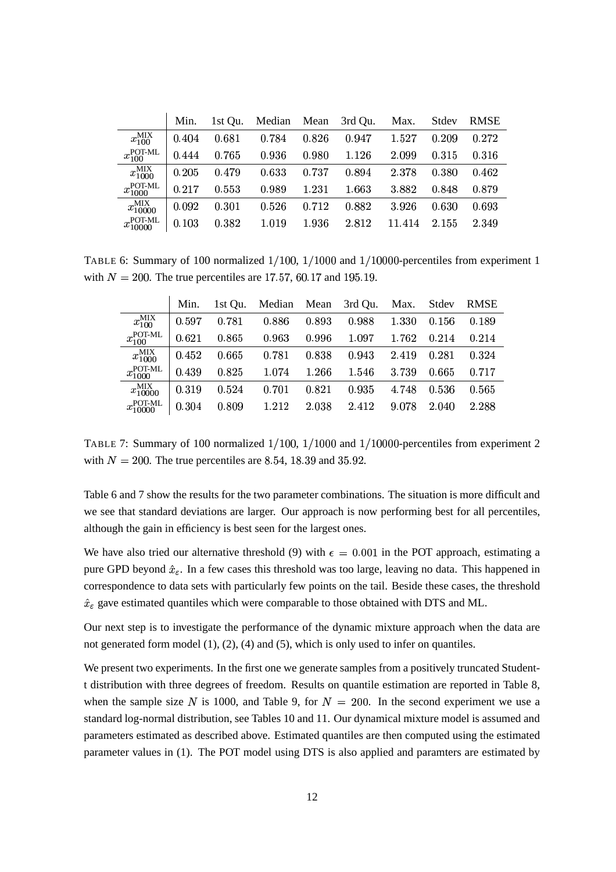|                          | Min.  | 1st Qu. | Median | Mean  | 3rd Qu. | Max.   | Stdev | <b>RMSE</b> |  |
|--------------------------|-------|---------|--------|-------|---------|--------|-------|-------------|--|
| $x_{100}^{\text{MIX}}$   | 0.404 | 0.681   | 0.784  | 0.826 | 0.947   | 1.527  | 0.209 | 0.272       |  |
| $x_{100}^{\rm POT-ML}$   | 0.444 | 0.765   | 0.936  | 0.980 | 1.126   | 2.099  | 0.315 | 0.316       |  |
| $x_{1000}^{\rm MIX}$     | 0.205 | 0.479   | 0.633  | 0.737 | 0.894   | 2.378  | 0.380 | 0.462       |  |
| $x_{1000}^{\rm POT-ML}$  | 0.217 | 0.553   | 0.989  | 1.231 | 1.663   | 3.882  | 0.848 | 0.879       |  |
| $x_{10000}^{\text{MIX}}$ | 0.092 | 0.301   | 0.526  | 0.712 | 0.882   | 3.926  | 0.630 | 0.693       |  |
| $x_{10000}^{\rm POT-ML}$ | 0.103 | 0.382   | 1.019  | 1.936 | 2.812   | 11.414 | 2.155 | 2.349       |  |

TABLE 6: Summary of 100 normalized  $1/100$ ,  $1/1000$  and  $1/10000$ -percentiles from experiment 1 with  $N = 200$ . The true percentiles are 17.57, 60.17 and 195.19.

|                             | Min.  | 1st Ou. | Median Mean |       | 3rd Qu. | Max.  | Stdev | <b>RMSE</b> |
|-----------------------------|-------|---------|-------------|-------|---------|-------|-------|-------------|
| $x_{100}^{\text{MIX}}$      | 0.597 | 0.781   | 0.886       | 0.893 | 0.988   | 1.330 | 0.156 | 0.189       |
| $x_{100}^{\rm POT-ML}$      | 0.621 | 0.865   | 0.963       | 0.996 | 1.097   | 1.762 | 0.214 | 0.214       |
| $x_{1000}^{\rm MIX}$        | 0.452 | 0.665   | 0.781       | 0.838 | 0.943   | 2.419 | 0.281 | 0.324       |
| $x_{1000}^{\text{POT-ML}}$  | 0.439 | 0.825   | 1.074       | 1.266 | 1.546   | 3.739 | 0.665 | 0.717       |
| $x_{10000}^{\text{MIX}}$    | 0.319 | 0.524   | 0.701       | 0.821 | 0.935   | 4.748 | 0.536 | 0.565       |
| $x_{10000}^{\text{POT-ML}}$ | 0.304 | 0.809   | 1.212       | 2.038 | 2.412   | 9.078 | 2.040 | 2.288       |

TABLE 7: Summary of 100 normalized  $1/100$ ,  $1/1000$  and  $1/10000$ -percentiles from experiment 2 with  $N = 200$ . The true percentiles are 8.54, 18.39 and 35.92.

Table 6 and 7 show the results for the two parameter combinations. The situation is more difficult and we see that standard deviations are larger. Our approach is now performing best for all percentiles, although the gain in efficiency is best seen for the largest ones.

We have also tried our alternative threshold (9) with  $\epsilon = 0.001$  in the POT approach, estimating a pure GPD beyond  $\hat{x}_{\varepsilon}$ . In a few cases this threshold was too large, leaving no data. This happened in correspondence to data sets with particularly few points on the tail. Beside these cases, the threshold  $\hat{x}_{\varepsilon}$  gave estimated quantiles which were comparable to those obtained with DTS and ML.

Our next step is to investigate the performance of the dynamic mixture approach when the data are not generated form model (1), (2), (4) and (5), which is only used to infer on quantiles.

We present two experiments. In the first one we generate samples from a positively truncated Studentt distribution with three degrees of freedom. Results on quantile estimation are reported in Table 8, when the sample size N is 1000, and Table 9, for  $N = 200$ . In the second experiment we use a standard log-normal distribution, see Tables 10 and 11. Our dynamical mixture model is assumed and parameters estimated as described above. Estimated quantiles are then computed using the estimated parameter values in (1). The POT model using DTS is also applied and paramters are estimated by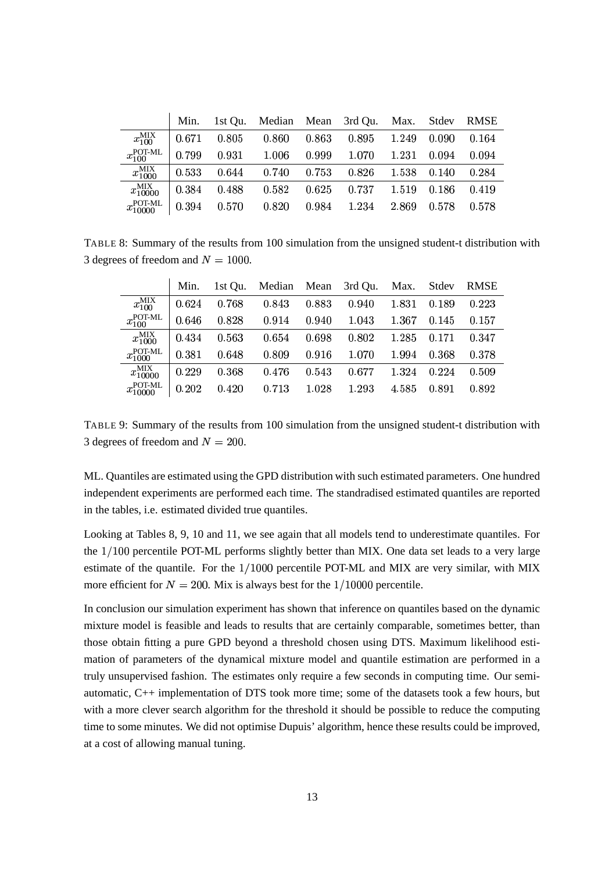|                          | Min.  |       |       |       | 1st Qu. Median Mean 3rd Qu. Max. Stdev RMSE |       |       |       |
|--------------------------|-------|-------|-------|-------|---------------------------------------------|-------|-------|-------|
| $x_{100}^{\text{MIX}}$   | 0.671 | 0.805 | 0.860 | 0.863 | 0.895                                       | 1.249 | 0.090 | 0.164 |
| $x_{100}^{\rm POT-ML}$   | 0.799 | 0.931 | 1.006 | 0.999 | 1.070                                       | 1.231 | 0.094 | 0.094 |
| $x_{1000}^{\rm MIX}$     | 0.533 | 0.644 | 0.740 | 0.753 | 0.826                                       | 1.538 | 0.140 | 0.284 |
| $x_{10000}^{\text{MIX}}$ | 0.384 | 0.488 | 0.582 | 0.625 | 0.737                                       | 1.519 | 0.186 | 0.419 |
| $x_{10000}^{\rm POT-ML}$ | 0.394 | 0.570 | 0.820 | 0.984 | 1.234                                       | 2.869 | 0.578 | 0.578 |

TABLE 8: Summary of the results from 100 simulation from the unsigned student-t distribution with 3 degrees of freedom and  $N = 1000$ .

|                             | Min.  | 1st Ou. | Median Mean |       | 3rd Qu. | Max.  | Stdev | <b>RMSE</b> |
|-----------------------------|-------|---------|-------------|-------|---------|-------|-------|-------------|
| $x_{100}^{\text{MIX}}$      | 0.624 | 0.768   | 0.843       | 0.883 | 0.940   | 1.831 | 0.189 | 0.223       |
| $x_{100}^{\rm POT-ML}$      | 0.646 | 0.828   | 0.914       | 0.940 | 1.043   | 1.367 | 0.145 | 0.157       |
| $x_{1000}^{\rm MIX}$        | 0.434 | 0.563   | 0.654       | 0.698 | 0.802   | 1.285 | 0.171 | 0.347       |
| $x_{1000}^{\rm POT-ML}$     | 0.381 | 0.648   | 0.809       | 0.916 | 1.070   | 1.994 | 0.368 | 0.378       |
| $x_{10000}^{\text{MIX}}$    | 0.229 | 0.368   | 0.476       | 0.543 | 0.677   | 1.324 | 0.224 | 0.509       |
| $x_{10000}^{\text{POT-ML}}$ | 0.202 | 0.420   | 0.713       | 1.028 | 1.293   | 4.585 | 0.891 | 0.892       |

TABLE 9: Summary of the results from 100 simulation from the unsigned student-t distribution with 3 degrees of freedom and  $N = 200$ .

ML. Quantiles are estimated using the GPD distribution with such estimated parameters. One hundred independent experiments are performed each time. The standradised estimated quantiles are reported in the tables, i.e. estimated divided true quantiles.

Looking at Tables 8, 9, 10 and 11, we see again that all models tend to underestimate quantiles. For the  $1/100$  percentile POT-ML performs slightly better than MIX. One data set leads to a very large estimate of the quantile. For the  $1/1000$  percentile POT-ML and MIX are very similar, with MIX more efficient for  $N = 200$ . Mix is always best for the  $1/10000$  percentile.

In conclusion our simulation experiment has shown that inference on quantiles based on the dynamic mixture model is feasible and leads to results that are certainly comparable, sometimes better, than those obtain fitting a pure GPD beyond a threshold chosen using DTS. Maximum likelihood estimation of parameters of the dynamical mixture model and quantile estimation are performed in a truly unsupervised fashion. The estimates only require a few seconds in computing time. Our semiautomatic, C++ implementation of DTS took more time; some of the datasets took a few hours, but with a more clever search algorithm for the threshold it should be possible to reduce the computing time to some minutes. We did not optimise Dupuis' algorithm, hence these results could be improved, at a cost of allowing manual tuning.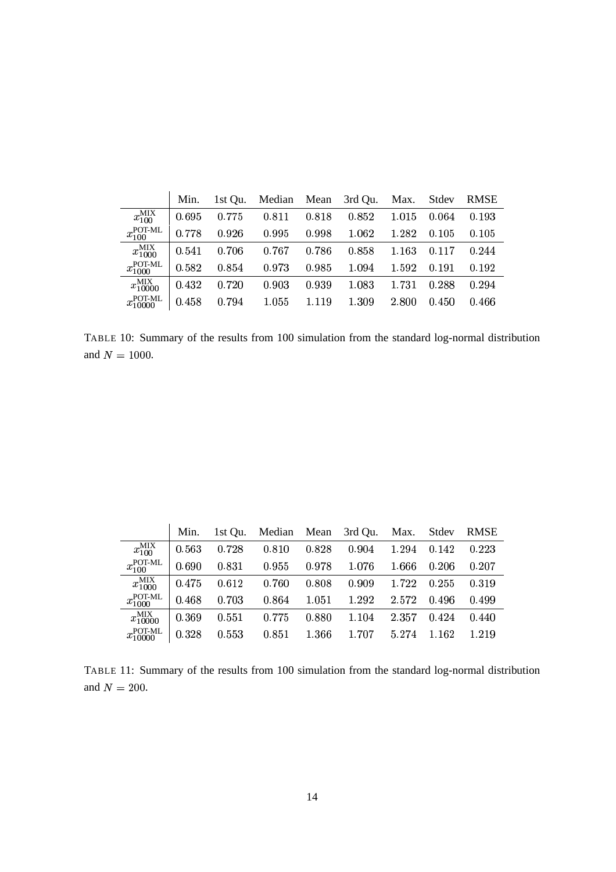|                          | Min.  | 1st Qu. | Median Mean |       | 3rd Qu. Max. |       | Stdev | <b>RMSE</b> |
|--------------------------|-------|---------|-------------|-------|--------------|-------|-------|-------------|
| $x_{100}^{\text{MIX}}$   | 0.695 | 0.775   | 0.811       | 0.818 | 0.852        | 1.015 | 0.064 | 0.193       |
| $x_{100}^{\rm POT-ML}$   | 0.778 | 0.926   | 0.995       | 0.998 | 1.062        | 1.282 | 0.105 | 0.105       |
| $x_{1000}^{\text{MIX}}$  | 0.541 | 0.706   | 0.767       | 0.786 | 0.858        | 1.163 | 0.117 | 0.244       |
| $x_{1000}^{\rm POT-ML}$  | 0.582 | 0.854   | 0.973       | 0.985 | 1.094        | 1.592 | 0.191 | 0.192       |
| $x_{10000}^{\rm MIX}$    | 0.432 | 0.720   | 0.903       | 0.939 | 1.083        | 1.731 | 0.288 | 0.294       |
| $x_{10000}^{\rm POT-ML}$ | 0.458 | 0.794   | 1.055       | 1.119 | 1.309        | 2.800 | 0.450 | 0.466       |

TABLE 10: Summary of the results from 100 simulation from the standard log-normal distribution and  $N = 1000$ .

|                             | Min.  | 1st Qu. | Median Mean 3rd Qu. Max. Stdev |       |       |       |       | <b>RMSE</b> |
|-----------------------------|-------|---------|--------------------------------|-------|-------|-------|-------|-------------|
| $x_{100}^{\text{MIX}}$      | 0.563 | 0.728   | 0.810                          | 0.828 | 0.904 | 1.294 | 0.142 | 0.223       |
| $x_{100}^{\rm POT-ML}$      | 0.690 | 0.831   | 0.955                          | 0.978 | 1.076 | 1.666 | 0.206 | 0.207       |
| $x_{1000}^{\text{MIX}}$     | 0.475 | 0.612   | 0.760                          | 0.808 | 0.909 | 1.722 | 0.255 | 0.319       |
| $x_{1000}^{\rm POT-ML}$     | 0.468 | 0.703   | 0.864                          | 1.051 | 1.292 | 2.572 | 0.496 | 0.499       |
| $x_{10000}^{\text{MIX}}$    | 0.369 | 0.551   | 0.775                          | 0.880 | 1.104 | 2.357 | 0.424 | 0.440       |
| $x_{10000}^{\text{POT-ML}}$ | 0.328 | 0.553   | 0.851                          | 1.366 | 1.707 | 5.274 | 1.162 | 1.219       |

TABLE 11: Summary of the results from 100 simulation from the standard log-normal distribution and  $N = 200$ .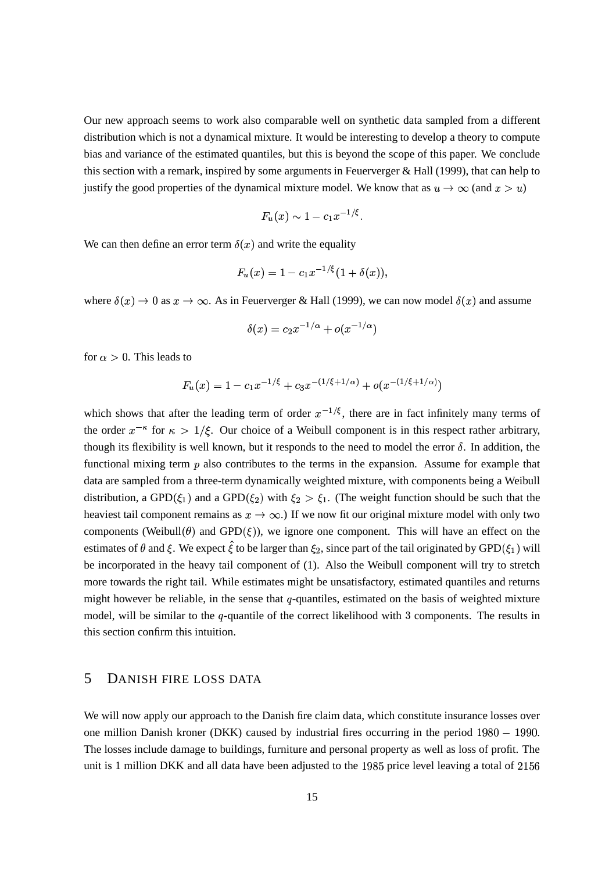Our new approach seems to work also comparable well on synthetic data sampled from a different distribution which is not a dynamical mixture. It would be interesting to develop a theory to compute bias and variance of the estimated quantiles, but this is beyond the scope of this paper. We conclude this section with a remark, inspired by some arguments in Feuerverger & Hall (1999), that can help to justify the good properties of the dynamical mixture model. We know that as  $u \to \infty$  (and  $x > u$ )

$$
F_u(x) \sim 1 - c_1 x^{-1/\xi}
$$
.

We can then define an error term  $\delta(x)$  and write the equality

$$
F_u(x) = 1 - c_1 x^{-1/5} (1 + \delta(x)),
$$

where  $\delta(x) \to 0$  as  $x \to \infty$ . As in Feuerverger & Hall (1999), we can now model  $\delta(x)$  and assume

$$
\delta(x) = c_2 x^{-1/\alpha} + o(x^{-1/\alpha})
$$

for  $\alpha > 0$ . This leads to

$$
F_u(x) = 1 - c_1 x^{-1/\xi} + c_3 x^{-(1/\xi + 1/\alpha)} + o(x^{-(1/\xi + 1/\alpha)})
$$

which shows that after the leading term of order  $x^{-1/\xi}$ , there are in fact infinitely many terms of the order  $x^{-\kappa}$  for  $\kappa > 1/\xi$ . Our choice of a Weibull component is in this respect rather arbitrary, though its flexibility is well known, but it responds to the need to model the error  $\delta$ . In addition, the functional mixing term  $p$  also contributes to the terms in the expansion. Assume for example that data are sampled from a three-term dynamically weighted mixture, with components being a Weibull distribution, a GPD( $\xi_1$ ) and a GPD( $\xi_2$ ) with  $\xi_2 > \xi_1$ . (The weight function should be such that the heaviest tail component remains as  $x \to \infty$ .) If we now fit our original mixture model with only two components (Weibull $(\theta)$  and GPD $(\xi)$ ), we ignore one component. This will have an effect on the estimates of  $\theta$  and  $\xi$ . We expect  $\xi$  to be larger than  $\xi_2$ , since part of the tail originated by GPD( $\xi_1$ ) will be incorporated in the heavy tail component of (1). Also the Weibull component will try to stretch more towards the right tail. While estimates might be unsatisfactory, estimated quantiles and returns might however be reliable, in the sense that  $q$ -quantiles, estimated on the basis of weighted mixture model, will be similar to the  $q$ -quantile of the correct likelihood with  $3$  components. The results in this section confirm this intuition.

#### 5 DANISH FIRE LOSS DATA

We will now apply our approach to the Danish fire claim data, which constitute insurance losses over one million Danish kroner (DKK) caused by industrial fires occurring in the period  $1980 - 1990$ . The losses include damage to buildings, furniture and personal property as well as loss of profit. The unit is 1 million DKK and all data have been adjusted to the 1985 price level leaving a total of  $2156$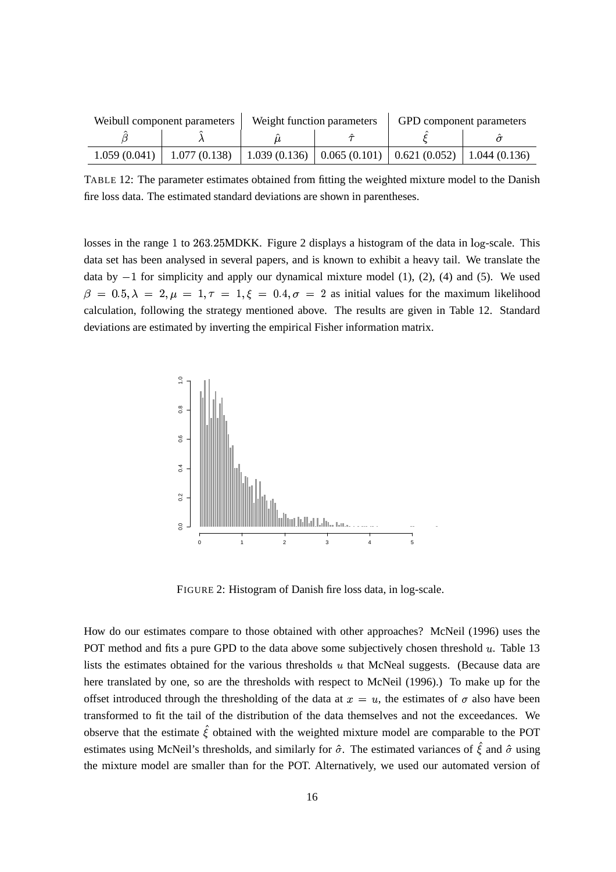|              | Weibull component parameters |                                                               | Weight function parameters | GPD component parameters |  |  |
|--------------|------------------------------|---------------------------------------------------------------|----------------------------|--------------------------|--|--|
|              |                              |                                                               |                            |                          |  |  |
| 1.059(0.041) | 1.077(0.138)                 | 1.039 (0.136)   0.065 (0.101)   0.621 (0.052)   1.044 (0.136) |                            |                          |  |  |

TABLE 12: The parameter estimates obtained from fitting the weighted mixture model to the Danish fire loss data. The estimated standard deviations are shown in parentheses.

losses in the range 1 to 263.25MDKK. Figure 2 displays a histogram of the data in log-scale. This data set has been analysed in several papers, and is known to exhibit a heavy tail. We translate the data by  $-1$  for simplicity and apply our dynamical mixture model (1), (2), (4) and (5). We used  $\beta = 0.5, \lambda = 2, \mu = 1, \tau = 1, \xi = 0.4, \sigma = 2$  as initial values for the maximum likelihood calculation, following the strategy mentioned above. The results are given in Table 12. Standard deviations are estimated by inverting the empirical Fisher information matrix.



FIGURE 2: Histogram of Danish fire loss data, in log-scale.

How do our estimates compare to those obtained with other approaches? McNeil (1996) uses the POT method and fits a pure GPD to the data above some subjectively chosen threshold  $u$ . Table 13 lists the estimates obtained for the various thresholds  $u$  that McNeal suggests. (Because data are here translated by one, so are the thresholds with respect to McNeil (1996).) To make up for the offset introduced through the thresholding of the data at  $x = u$ , the estimates of  $\sigma$  also have been transformed to fit the tail of the distribution of the data themselves and not the exceedances. We observe that the estimate  $\hat{\xi}$  obtained with the weighted mixture model are comparable to the POT estimates using McNeil's thresholds, and similarly for  $\hat{\sigma}$ . The estimated variances of  $\hat{\xi}$  and  $\hat{\sigma}$  using the mixture model are smaller than for the POT. Alternatively, we used our automated version of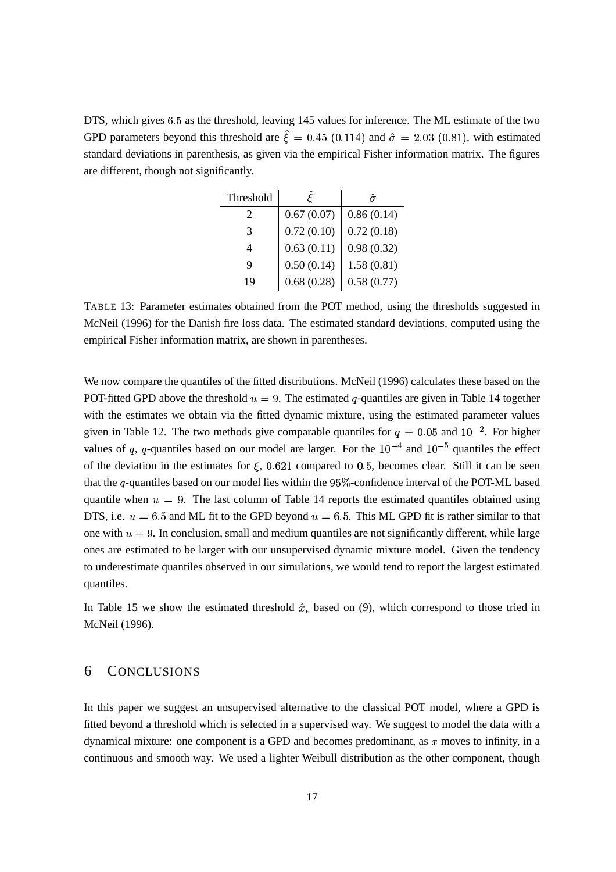DTS, which gives 6.5 as the threshold, leaving 145 values for inference. The ML estimate of the two GPD parameters beyond this threshold are  $\xi = 0.45$  (0.114) and  $\hat{\sigma} = 2.03$  (0.81), with estimated standard deviations in parenthesis, as given via the empirical Fisher information matrix. The figures are different, though not significantly.

| Threshold |            |            |
|-----------|------------|------------|
| 2         | 0.67(0.07) | 0.86(0.14) |
| 3         | 0.72(0.10) | 0.72(0.18) |
| 4         | 0.63(0.11) | 0.98(0.32) |
| Q         | 0.50(0.14) | 1.58(0.81) |
| 19        | 0.68(0.28) | 0.58(0.77) |

TABLE 13: Parameter estimates obtained from the POT method, using the thresholds suggested in McNeil (1996) for the Danish fire loss data. The estimated standard deviations, computed using the empirical Fisher information matrix, are shown in parentheses.

We now compare the quantiles of the fitted distributions. McNeil (1996) calculates these based on the POT-fitted GPD above the threshold  $u = 9$ . The estimated q-quantiles are given in Table 14 together with the estimates we obtain via the fitted dynamic mixture, using the estimated parameter values given in Table 12. The two methods give comparable quantiles for  $q = 0.05$  and  $10^{-2}$ . For higher values of q, q-quantiles based on our model are larger. For the  $10^{-4}$  and  $10^{-5}$  quantiles the effect of the deviation in the estimates for  $\xi$ , 0.621 compared to 0.5, becomes clear. Still it can be seen that the q-quantiles based on our model lies within the  $95\%$ -confidence interval of the POT-ML based quantile when  $u = 9$ . The last column of Table 14 reports the estimated quantiles obtained using DTS, i.e.  $u = 6.5$  and ML fit to the GPD beyond  $u = 6.5$ . This ML GPD fit is rather similar to that one with  $u = 9$ . In conclusion, small and medium quantiles are not significantly different, while large ones are estimated to be larger with our unsupervised dynamic mixture model. Given the tendency to underestimate quantiles observed in our simulations, we would tend to report the largest estimated quantiles.

In Table 15 we show the estimated threshold  $\hat{x}_\epsilon$  based on (9), which correspond to those tried in McNeil (1996).

#### 6 CONCLUSIONS

In this paper we suggest an unsupervised alternative to the classical POT model, where a GPD is fitted beyond a threshold which is selected in a supervised way. We suggest to model the data with a dynamical mixture: one component is a GPD and becomes predominant, as  $x$  moves to infinity, in a continuous and smooth way. We used a lighter Weibull distribution as the other component, though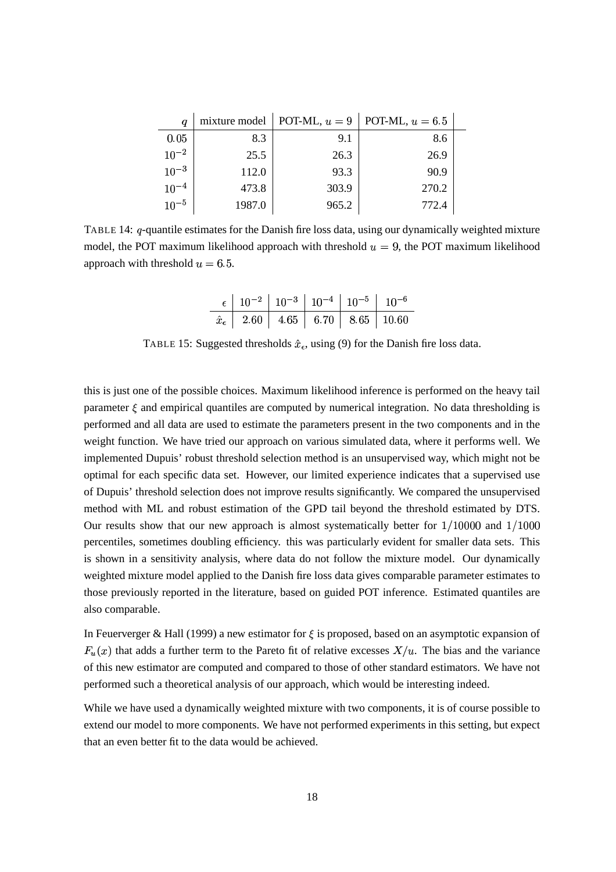| $\it q$   |        | mixture model   POT-ML, $u = 9$ | POT-ML, $u = 6.5$ |  |
|-----------|--------|---------------------------------|-------------------|--|
| 0.05      | 8.3    | 9.1                             | 8.6               |  |
| $10^{-2}$ | 25.5   | 26.3                            | 26.9              |  |
| $10^{-3}$ | 112.0  | 93.3                            | 90.9              |  |
| $10^{-4}$ | 473.8  | 303.9                           | 270.2             |  |
| $10^{-5}$ | 1987.0 | 965.2                           | 772.4             |  |

TABLE 14:  $q$ -quantile estimates for the Danish fire loss data, using our dynamically weighted mixture model, the POT maximum likelihood approach with threshold  $u = 9$ , the POT maximum likelihood approach with threshold  $u = 6.5$ .

| $\epsilon$   10 <sup>-2</sup>   10 <sup>-3</sup>   10 <sup>-4</sup>   10 <sup>-5</sup>   10 <sup>-6</sup> |  |  |
|-----------------------------------------------------------------------------------------------------------|--|--|
| $\hat{x}_{\epsilon}$   2.60   4.65   6.70   8.65   10.60                                                  |  |  |

TABLE 15: Suggested thresholds  $\hat{x}_{\epsilon}$ , using (9) for the Danish fire loss data.

this is just one of the possible choices. Maximum likelihood inference is performed on the heavy tail parameter  $\xi$  and empirical quantiles are computed by numerical integration. No data thresholding is performed and all data are used to estimate the parameters present in the two components and in the weight function. We have tried our approach on various simulated data, where it performs well. We implemented Dupuis' robust threshold selection method is an unsupervised way, which might not be optimal for each specific data set. However, our limited experience indicates that a supervised use of Dupuis' threshold selection does not improve results significantly. We compared the unsupervised method with ML and robust estimation of the GPD tail beyond the threshold estimated by DTS. Our results show that our new approach is almost systematically better for  $1/10000$  and  $1/1000$ percentiles, sometimes doubling efficiency. this was particularly evident for smaller data sets. This is shown in a sensitivity analysis, where data do not follow the mixture model. Our dynamically weighted mixture model applied to the Danish fire loss data gives comparable parameter estimates to those previously reported in the literature, based on guided POT inference. Estimated quantiles are also comparable.

In Feuerverger & Hall (1999) a new estimator for  $\xi$  is proposed, based on an asymptotic expansion of  $F_u(x)$  that adds a further term to the Pareto fit of relative excesses  $X/u$ . The bias and the variance of this new estimator are computed and compared to those of other standard estimators. We have not performed such a theoretical analysis of our approach, which would be interesting indeed.

While we have used a dynamically weighted mixture with two components, it is of course possible to extend our model to more components. We have not performed experiments in this setting, but expect that an even better fit to the data would be achieved.